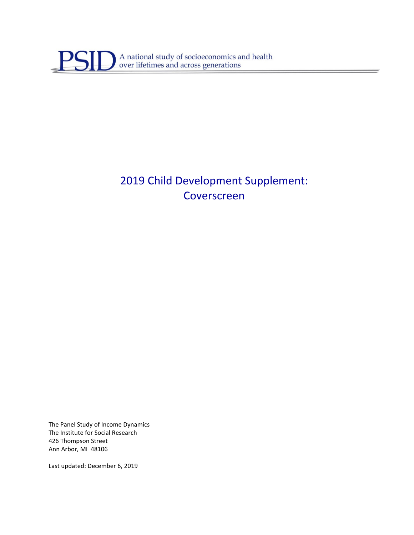

# 2019 Child Development Supplement: Coverscreen

The Panel Study of Income Dynamics The Institute for Social Research 426 Thompson Street Ann Arbor, MI 48106

Last updated: December 6, 2019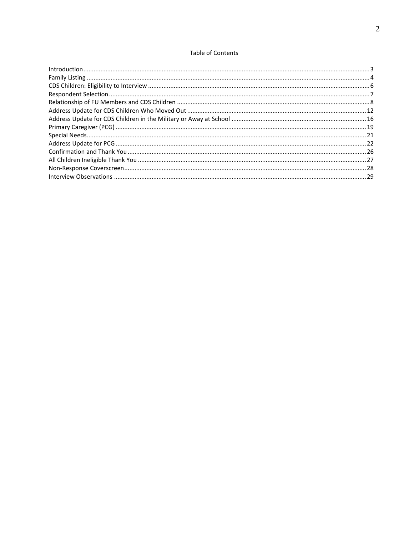### **Table of Contents**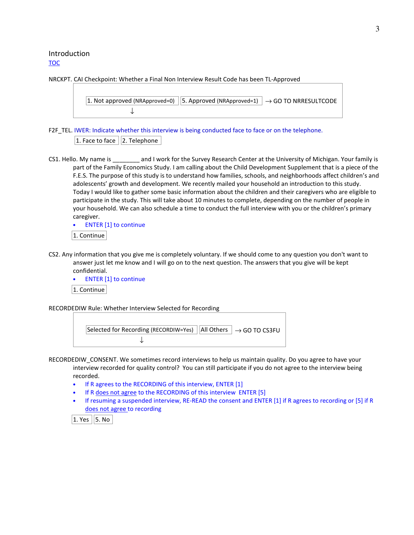### Introduction TOC

NRCKPT. CAI Checkpoint: Whether a Final Non Interview Result Code has been TL-Approved

```
1. Not approved (NRApproved=0) \vert 5. Approved (NRApproved=1) \vert \rightarrow GO TO NRRESULTCODE
                 ↓
```
F2F\_TEL. IWER: Indicate whether this interview is being conducted face to face or on the telephone.  $|1.$  Face to face  $||2.$  Telephone  $||$ 

CS1. Hello. My name is \_\_\_\_\_\_\_\_ and I work for the Survey Research Center at the University of Michigan. Your family is part of the Family Economics Study. I am calling about the Child Development Supplement that is a piece of the F.E.S. The purpose of this study is to understand how families, schools, and neighborhoods affect children's and adolescents' growth and development. We recently mailed your household an introduction to this study. Today I would like to gather some basic information about the children and their caregivers who are eligible to participate in the study. This will take about 10 minutes to complete, depending on the number of people in your household. We can also schedule a time to conduct the full interview with you or the children's primary caregiver.

• ENTER [1] to continue

1. Continue

- CS2. Any information that you give me is completely voluntary. If we should come to any question you don't want to answer just let me know and I will go on to the next question. The answers that you give will be kept confidential.
	- ENTER [1] to continue

1. Continue

RECORDEDIW Rule: Whether Interview Selected for Recording



RECORDEDIW\_CONSENT. We sometimes record interviews to help us maintain quality. Do you agree to have your interview recorded for quality control? You can still participate if you do not agree to the interview being recorded.

- If R agrees to the RECORDING of this interview, ENTER [1]
- If R does not agree to the RECORDING of this interview ENTER [5]
- If resuming a suspended interview, RE-READ the consent and ENTER [1] if R agrees to recording or [5] if R does not agree to recording

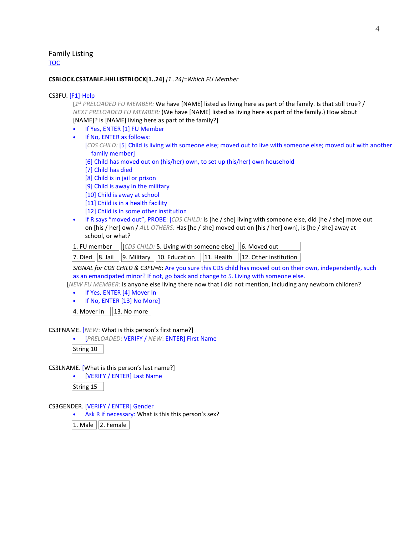Family Listing TOC

#### **CSBLOCK.CS3TABLE.HHLLISTBLOCK[1..24]** *[1..24]=Which FU Member*

#### CS3FU. [F1]-Help

[*1 st PRELOADED FU MEMBER:* We have [NAME] listed as living here as part of the family. Is that still true? / *NEXT PRELOADED FU MEMBER:* (We have [NAME] listed as living here as part of the family.) How about [NAME]? Is [NAME] living here as part of the family?]

- 
- If Yes, ENTER [1] FU Member
- If No, ENTER as follows:

[*CDS CHILD:* [5] Child is living with someone else; moved out to live with someone else; moved out with another family member]

- [6] Child has moved out on (his/her) own, to set up (his/her) own household
- [7] Child has died
- [8] Child is in jail or prison
- [9] Child is away in the military
- [10] Child is away at school
- [11] Child is in a health facility
- [12] Child is in some other institution
- If R says "moved out", PROBE: [*CDS CHILD:* Is [he / she] living with someone else, did [he / she] move out on [his / her] own / *ALL OTHERS:* Has [he / she] moved out on [his / her] own], is [he / she] away at school, or what?

| 1. FU member $\left \left[\right]$ (CDS CHILD: 5. Living with someone else) $\left \left 6. \text{ Moved out }\right \right $ |  |                                                                            |
|-------------------------------------------------------------------------------------------------------------------------------|--|----------------------------------------------------------------------------|
|                                                                                                                               |  | 7. Died 8. Jail 9. Military 10. Education 11. Health 12. Other institution |

*SIGNAL for CDS CHILD & C3FU=6*: Are you sure this CDS child has moved out on their own, independently, such as an emancipated minor? If not, go back and change to 5. Living with someone else.

[*NEW FU MEMBER*: Is anyone else living there now that I did not mention, including any newborn children?

- If Yes, ENTER [4] Mover In
- If No, ENTER [13] No More]

 $|4.$  Mover in  $||13.$  No more

CS3FNAME. [*NEW*: What is this person's first name?]

• [*PRELOADED*: VERIFY / *NEW*: ENTER] First Name

String 10

CS3LNAME. [What is this person's last name?]

• [VERIFY / ENTER] Last Name

String 15

CS3GENDER. [VERIFY / ENTER] Gender

• Ask R if necessary: What is this this person's sex?

 $|1.$  Male  $||2.$  Female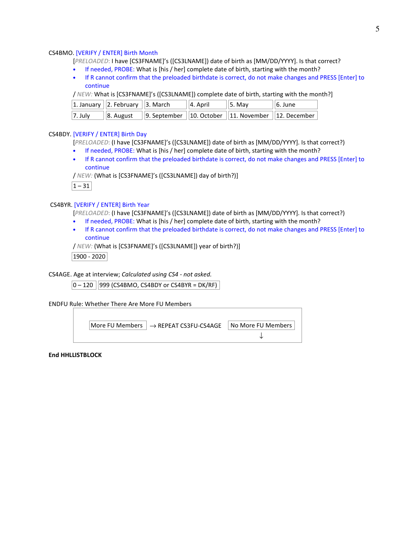#### CS4BMO. [VERIFY / ENTER] Birth Month

[*PRELOADED*: I have [CS3FNAME]'s ([CS3LNAME]) date of birth as [MM/DD/YYYY]. Is that correct?

- If needed, PROBE: What is [his / her] complete date of birth, starting with the month?
- If R cannot confirm that the preloaded birthdate is correct, do not make changes and PRESS [Enter] to continue

/ *NEW:* What is [CS3FNAME]'s ([CS3LNAME]) complete date of birth, starting with the month?]

|            | 1. January $  2.$ February $  3.$ March | $  4.$ April | 5. May                                                                               | $  6.$ June |
|------------|-----------------------------------------|--------------|--------------------------------------------------------------------------------------|-------------|
| $ 7.$ July |                                         |              | $\vert$ 8. August $\vert$ 9. September $\vert$ 10. October 11. November 12. December |             |

### CS4BDY. [VERIFY / ENTER] Birth Day

[*PRELOADED*: (I have [CS3FNAME]'s ([CS3LNAME]) date of birth as [MM/DD/YYYY]. Is that correct?)

- If needed, PROBE: What is [his / her] complete date of birth, starting with the month?
- If R cannot confirm that the preloaded birthdate is correct, do not make changes and PRESS [Enter] to continue

/ *NEW:* (What is [CS3FNAME]'s ([CS3LNAME]) day of birth?)]



#### CS4BYR. [VERIFY / ENTER] Birth Year

[*PRELOADED*: (I have [CS3FNAME]'s ([CS3LNAME]) date of birth as [MM/DD/YYYY]. Is that correct?)

- If needed, PROBE: What is [his / her] complete date of birth, starting with the month?
- If R cannot confirm that the preloaded birthdate is correct, do not make changes and PRESS [Enter] to continue

/ *NEW:* (What is [CS3FNAME]'s ([CS3LNAME]) year of birth?)]

1900 - 2020

CS4AGE. Age at interview; *Calculated using CS4 - not asked.*

 $\vert 0 - 120 \vert \vert 999$  (CS4BMO, CS4BDY or CS4BYR = DK/RF)  $\vert$ 

ENDFU Rule: Whether There Are More FU Members

 $\vert$  More FU Members  $\vert \rightarrow$  REPEAT CS3FU-CS4AGE  $\vert$  No More FU Members  $\vert$ ↓

**End HHLLISTBLOCK**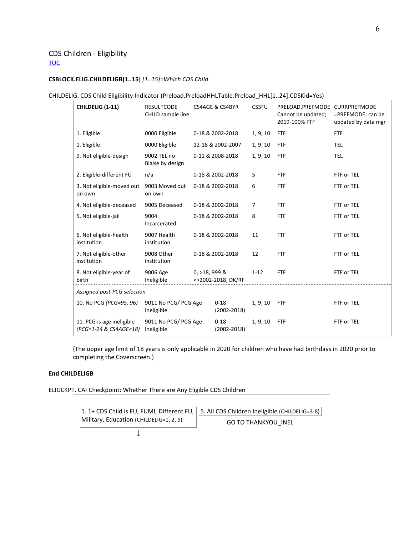### CDS Children - Eligibility **TOC**

### **CSBLOCK.ELIG.CHILDELIGB[1..15]** *[1..15]=Which CDS Child*

### CHILDELIG. CDS Child Eligibility Indicator (Preload.PreloadHHLTable.Preload\_HHL[1..24].CDSKid=Yes)

| <b>CHILDELIG (1-11)</b>                             | <b>RESULTCODE</b><br>CHILD sample line |                | CS4AGE & CS4BYR             | CS3FU    | PRELOAD.PREFMODE CURRPREFMODE<br>Cannot be updated;<br>2019-100% FTF | =PREFMODE; can be<br>updated by data mgr |
|-----------------------------------------------------|----------------------------------------|----------------|-----------------------------|----------|----------------------------------------------------------------------|------------------------------------------|
| 1. Eligible                                         | 0000 Eligible                          |                | 0-18 & 2002-2018            | 1, 9, 10 | <b>FTF</b>                                                           | <b>FTF</b>                               |
| 1. Eligible                                         | 0000 Eligible                          |                | 12-18 & 2002-2007           | 1, 9, 10 | <b>FTF</b>                                                           | <b>TEL</b>                               |
| 9. Not eligible-design                              | 9002 TEL no<br>Blaise by design        |                | 0-11 & 2008-2018            | 1, 9, 10 | <b>FTF</b>                                                           | TEL                                      |
| 2. Eligible-different FU                            | n/a                                    |                | 0-18 & 2002-2018            | 5        | <b>FTF</b>                                                           | FTF or TEL                               |
| 3. Not eligible-moved out<br>on own                 | 9003 Moved out<br>on own               |                | 0-18 & 2002-2018            | 6        | <b>FTF</b>                                                           | FTF or TEL                               |
| 4. Not eligible-deceased                            | 9005 Deceased                          |                | 0-18 & 2002-2018            | 7        | <b>FTF</b>                                                           | FTF or TEL                               |
| 5. Not eligible-jail                                | 9004<br>Incarcerated                   |                | 0-18 & 2002-2018            | 8        | <b>FTF</b>                                                           | FTF or TEL                               |
| 6. Not eligible-health<br>institution               | 9007 Health<br>institution             |                | 0-18 & 2002-2018            | 11       | <b>FTF</b>                                                           | FTF or TEL                               |
| 7. Not eligible-other<br>institution                | 9008 Other<br>institution              |                | 0-18 & 2002-2018            | 12       | <b>FTF</b>                                                           | FTF or TEL                               |
| 8. Not eligible-year of<br>birth                    | 9006 Age<br>Ineligible                 | $0, >18,999$ & | <>2002-2018, DK/RF          | $1 - 12$ | <b>FTF</b>                                                           | FTF or TEL                               |
| Assigned post-PCG selection                         |                                        |                |                             |          |                                                                      |                                          |
| 10. No PCG (PCG=95, 96)                             | 9011 No PCG/ PCG Age<br>Ineligible     |                | $0 - 18$<br>$(2002 - 2018)$ | 1, 9, 10 | <b>FTF</b>                                                           | FTF or TEL                               |
| 11. PCG is age ineligible<br>(PCG=1-24 & CS4AGE<18) | 9011 No PCG/ PCG Age<br>Ineligible     |                | $0 - 18$<br>$(2002 - 2018)$ | 1, 9, 10 | <b>FTF</b>                                                           | FTF or TEL                               |

(The upper age limit of 18 years is only applicable in 2020 for children who have had birthdays in 2020 prior to completing the Coverscreen.)

### **End CHILDELIGB**

ELIGCKPT. CAI Checkpoint: Whether There are Any Eligible CDS Children

|                                         | 1. 1+ CDS Child is FU, FUMI, Different FU, $  $ 5. All CDS Children Ineligible (CHILDELIG=3-8) |
|-----------------------------------------|------------------------------------------------------------------------------------------------|
| Military, Education (CHILDELIG=1, 2, 9) | <b>GO TO THANKYOU INEL</b>                                                                     |
|                                         |                                                                                                |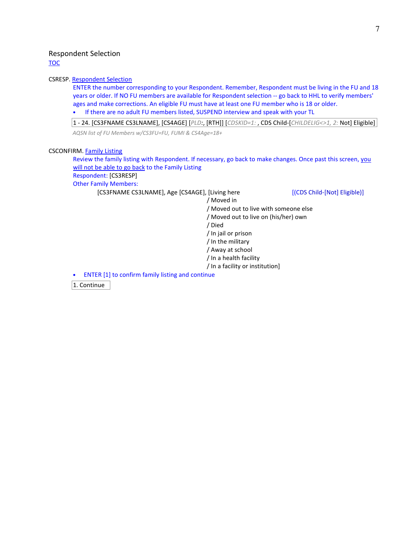### Respondent Selection

TOC

#### CSRESP. Respondent Selection

ENTER the number corresponding to your Respondent. Remember, Respondent must be living in the FU and 18 years or older. If NO FU members are available for Respondent selection -- go back to HHL to verify members' ages and make corrections. An eligible FU must have at least one FU member who is 18 or older.

• If there are no adult FU members listed, SUSPEND interview and speak with your TL

1 - 24. [CS3FNAME CS3LNAME], [CS4AGE] [*PLD:*, [RTH]] [*CDSKID=1:* , CDS Child-[*CHILDELIG<>1, 2:* Not] Eligible] *AQSN list of FU Members w/CS3FU=FU, FUMI & CS4Age=18+*

#### CSCONFIRM. Family Listing

Review the family listing with Respondent. If necessary, go back to make changes. Once past this screen, you will not be able to go back to the Family Listing Respondent: [CS3RESP] Other Family Members:

[CS3FNAME CS3LNAME], Age [CS4AGE], [Living here [(CDS Child-[Not] Eligible)]

/ Moved in / Moved out to live with someone else / Moved out to live on (his/her) own / Died / In jail or prison / In the military / Away at school / In a health facility / In a facility or institution] • ENTER [1] to confirm family listing and continue

1. Continue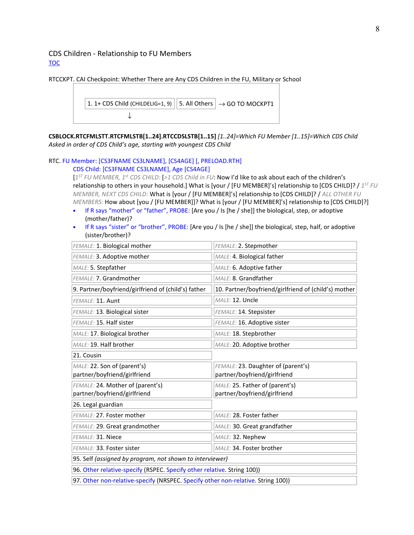### CDS Children - Relationship to FU Members TOC



**CSBLOCK.RTCFMLSTT.RTCFMLSTB[1..24].RTCCDSLSTB[1..15]** *[1..24]=Which FU Member [1..15]=Which CDS Child Asked in order of CDS Child's age, starting with youngest CDS Child* 

#### RTC. FU Member: [CS3FNAME CS3LNAME], [CS4AGE] [, PRELOAD.RTH] CDS Child: [CS3FNAME CS3LNAME], Age [CS4AGE]

[*1 ST FU MEMBER, 1st CDS CHILD:* [*>1 CDS Child in FU*: Now I'd like to ask about each of the children's relationship to others in your household.] What is [your / [FU MEMBER]'s] relationship to [CDS CHILD]? / *1 ST FU MEMBER, NEXT CDS CHILD:* What is [your / [FU MEMBER]'s] relationship to [CDS CHILD]? / *ALL OTHER FU MEMBERS:* How about [you / [FU MEMBER]]? What is [your / [FU MEMBER]'s] relationship to [CDS CHILD]?]

- If R says "mother" or "father", PROBE: [Are you / Is [he / she]] the biological, step, or adoptive (mother/father)?
- If R says "sister" or "brother", PROBE: [Are you / Is [he / she]] the biological, step, half, or adoptive (sister/brother)?

| FEMALE: 1. Biological mother                                                     | FEMALE: 2. Stepmother                                |  |  |
|----------------------------------------------------------------------------------|------------------------------------------------------|--|--|
| FEMALE: 3. Adoptive mother                                                       | MALE: 4. Biological father                           |  |  |
| MALE: 5. Stepfather                                                              | MALE: 6. Adoptive father                             |  |  |
| FEMALE: 7. Grandmother                                                           | MALE: 8. Grandfather                                 |  |  |
| 9. Partner/boyfriend/girlfriend of (child's) father                              | 10. Partner/boyfriend/girlfriend of (child's) mother |  |  |
| FEMALE: 11. Aunt                                                                 | MALE: 12. Uncle                                      |  |  |
| FEMALE: 13. Biological sister                                                    | FEMALE: 14. Stepsister                               |  |  |
| FEMALE: 15. Half sister                                                          | FEMALE: 16. Adoptive sister                          |  |  |
| MALE: 18. Stepbrother<br>MALE: 17. Biological brother                            |                                                      |  |  |
| MALE: 19. Half brother<br>MALE: 20. Adoptive brother                             |                                                      |  |  |
| 21. Cousin                                                                       |                                                      |  |  |
| MALE: 22. Son of (parent's)                                                      | FEMALE: 23. Daughter of (parent's)                   |  |  |
| partner/boyfriend/girlfriend                                                     | partner/boyfriend/girlfriend                         |  |  |
| FEMALE: 24. Mother of (parent's)                                                 | MALE: 25. Father of (parent's)                       |  |  |
| partner/boyfriend/girlfriend                                                     | partner/boyfriend/girlfriend                         |  |  |
| 26. Legal guardian                                                               |                                                      |  |  |
| FEMALE: 27. Foster mother                                                        | MALE: 28. Foster father                              |  |  |
| FEMALE: 29. Great grandmother                                                    | MALE: 30. Great grandfather                          |  |  |
| FEMALE: 31. Niece<br>MALE: 32. Nephew                                            |                                                      |  |  |
| MALE: 34. Foster brother<br>FEMALE: 33. Foster sister                            |                                                      |  |  |
| 95. Self (assigned by program, not shown to interviewer)                         |                                                      |  |  |
| 96. Other relative-specify (RSPEC. Specify other relative. String 100))          |                                                      |  |  |
| 97. Other non-relative-specify (NRSPEC. Specify other non-relative. String 100)) |                                                      |  |  |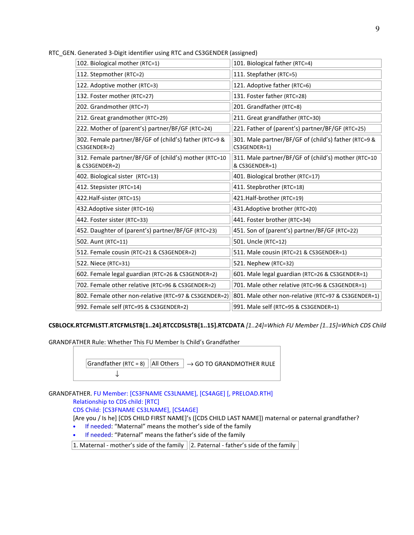RTC\_GEN. Generated 3-Digit identifier using RTC and CS3GENDER (assigned)

| 102. Biological mother (RTC=1)                                          | 101. Biological father (RTC=4)                                        |
|-------------------------------------------------------------------------|-----------------------------------------------------------------------|
| 112. Stepmother (RTC=2)                                                 | 111. Stepfather (RTC=5)                                               |
| 122. Adoptive mother (RTC=3)                                            | 121. Adoptive father (RTC=6)                                          |
| 132. Foster mother (RTC=27)                                             | 131. Foster father (RTC=28)                                           |
| 202. Grandmother (RTC=7)                                                | 201. Grandfather (RTC=8)                                              |
| 212. Great grandmother (RTC=29)                                         | 211. Great grandfather (RTC=30)                                       |
| 222. Mother of (parent's) partner/BF/GF (RTC=24)                        | 221. Father of (parent's) partner/BF/GF (RTC=25)                      |
| 302. Female partner/BF/GF of (child's) father (RTC=9 &<br>CS3GENDER=2)  | 301. Male partner/BF/GF of (child's) father (RTC=9 &<br>CS3GENDER=1)  |
| 312. Female partner/BF/GF of (child's) mother (RTC=10<br>& CS3GENDER=2) | 311. Male partner/BF/GF of (child's) mother (RTC=10<br>& CS3GENDER=1) |
| 402. Biological sister (RTC=13)                                         | 401. Biological brother (RTC=17)                                      |
| 412. Stepsister (RTC=14)                                                | 411. Stepbrother (RTC=18)                                             |
| 422. Half-sister (RTC=15)                                               | 421.Half-brother (RTC=19)                                             |
| 432. Adoptive sister (RTC=16)                                           | 431.Adoptive brother (RTC=20)                                         |
| 442. Foster sister (RTC=33)                                             | 441. Foster brother (RTC=34)                                          |
| 452. Daughter of (parent's) partner/BF/GF (RTC=23)                      | 451. Son of (parent's) partner/BF/GF (RTC=22)                         |
| 502. Aunt (RTC=11)                                                      | 501. Uncle (RTC=12)                                                   |
| 512. Female cousin (RTC=21 & CS3GENDER=2)                               | 511. Male cousin (RTC=21 & CS3GENDER=1)                               |
| 522. Niece (RTC=31)                                                     | 521. Nephew (RTC=32)                                                  |
| 602. Female legal guardian (RTC=26 & CS3GENDER=2)                       | 601. Male legal guardian (RTC=26 & CS3GENDER=1)                       |
| 702. Female other relative (RTC=96 & CS3GENDER=2)                       | 701. Male other relative (RTC=96 & CS3GENDER=1)                       |
| 802. Female other non-relative (RTC=97 & CS3GENDER=2)                   | 801. Male other non-relative (RTC=97 & CS3GENDER=1)                   |
| 992. Female self (RTC=95 & CS3GENDER=2)                                 | 991. Male self (RTC=95 & CS3GENDER=1)                                 |

**CSBLOCK.RTCFMLSTT.RTCFMLSTB[1..24].RTCCDSLSTB[1..15].RTCDATA** *[1..24]=Which FU Member [1..15]=Which CDS Child* 

GRANDFATHER Rule: Whether This FU Member Is Child's Grandfather



GRANDFATHER. FU Member: [CS3FNAME CS3LNAME], [CS4AGE] [, PRELOAD.RTH] Relationship to CDS child: [RTC] CDS Child: [CS3FNAME CS3LNAME], [CS4AGE] [Are you / Is he] [CDS CHILD FIRST NAME]'s ([CDS CHILD LAST NAME]) maternal or paternal grandfather?

- If needed: "Maternal" means the mother's side of the family
- If needed: "Paternal" means the father's side of the family

1. Maternal - mother's side of the family  $||2$ . Paternal - father's side of the family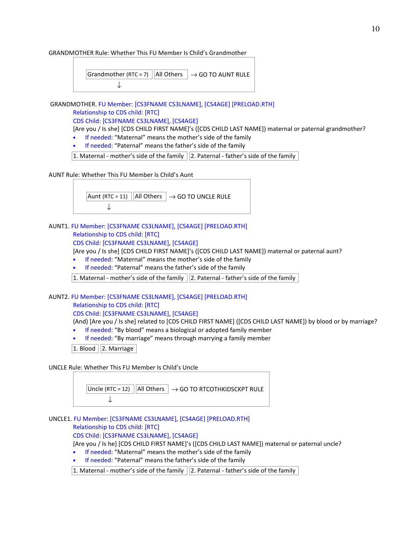#### GRANDMOTHER Rule: Whether This FU Member Is Child's Grandmother



GRANDMOTHER. FU Member: [CS3FNAME CS3LNAME], [CS4AGE] [PRELOAD.RTH]

### Relationship to CDS child: [RTC]

CDS Child: [CS3FNAME CS3LNAME], [CS4AGE]

[Are you / Is she] [CDS CHILD FIRST NAME]'s ([CDS CHILD LAST NAME]) maternal or paternal grandmother?

- If needed: "Maternal" means the mother's side of the family
- If needed: "Paternal" means the father's side of the family

1. Maternal - mother's side of the family  $||2$ . Paternal - father's side of the family

AUNT Rule: Whether This FU Member Is Child's Aunt

Aunt (RTC = 11)  $||$  All Others  $| \rightarrow$  GO TO UNCLE RULE  $\downarrow$ 

## AUNT1. FU Member: [CS3FNAME CS3LNAME], [CS4AGE] [PRELOAD.RTH] Relationship to CDS child: [RTC]

CDS Child: [CS3FNAME CS3LNAME], [CS4AGE]

[Are you / Is she] [CDS CHILD FIRST NAME]'s ([CDS CHILD LAST NAME]) maternal or paternal aunt?

- If needed: "Maternal" means the mother's side of the family
- If needed: "Paternal" means the father's side of the family

 $|1$ . Maternal - mother's side of the family  $||2$ . Paternal - father's side of the family

### AUNT2. FU Member: [CS3FNAME CS3LNAME], [CS4AGE] [PRELOAD.RTH] Relationship to CDS child: [RTC] CDS Child: [CS3FNAME CS3LNAME], [CS4AGE]

(And) [Are you / Is she] related to [CDS CHILD FIRST NAME] ([CDS CHILD LAST NAME]) by blood or by marriage?

- If needed: "By blood" means a biological or adopted family member
- If needed: "By marriage" means through marrying a family member

 $|1.$  Blood  $||2.$  Marriage

UNCLE Rule: Whether This FU Member Is Child's Uncle

Uncle (RTC = 12)  $||$ All Others  $| \rightarrow$  GO TO RTCOTHKIDSCKPT RULE ↓

UNCLE1. FU Member: [CS3FNAME CS3LNAME], [CS4AGE] [PRELOAD.RTH] Relationship to CDS child: [RTC] CDS Child: [CS3FNAME CS3LNAME], [CS4AGE] [Are you / Is he] [CDS CHILD FIRST NAME]'s ([CDS CHILD LAST NAME]) maternal or paternal uncle?

- If needed: "Maternal" means the mother's side of the family
- If needed: "Paternal" means the father's side of the family

 $|1$ . Maternal - mother's side of the family  $||2$ . Paternal - father's side of the family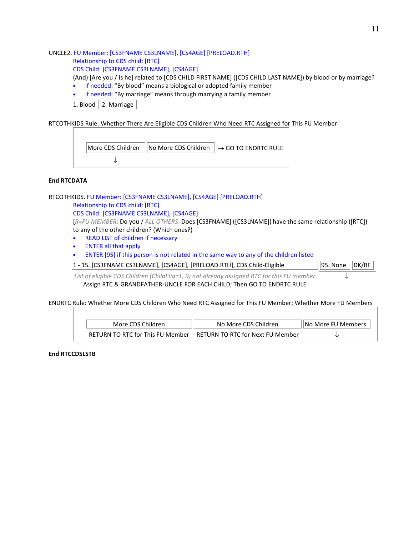#### UNCLE2. FU Member: [CS3FNAME CS3LNAME], [CS4AGE] [PRELOAD.RTH] Relationship to CDS child: [RTC] CDS Child: [CS3FNAME CS3LNAME], [CS4AGE]

(And) [Are you / Is he] related to [CDS CHILD FIRST NAME] ([CDS CHILD LAST NAME]) by blood or by marriage?

• If needed: "By blood" means a biological or adopted family member

• If needed: "By marriage" means through marrying a family member

 $\sqrt{1.$  Blood  $\sqrt{2.}$  Marriage

RTCOTHKIDS Rule: Whether There Are Eligible CDS Children Who Need RTC Assigned for This FU Member



#### **End RTCDATA**

RTCOTHKIDS. FU Member: [CS3FNAME CS3LNAME], [CS4AGE] [PRELOAD.RTH]

Relationship to CDS child: [RTC]

CDS Child: [CS3FNAME CS3LNAME], [CS4AGE]

[*R=FU MEMBER*: Do you / *ALL OTHERS*: Does [CS3FNAME] ([CS3LNAME]) have the same relationship ([RTC]) to any of the other children? (Which ones?)

- READ LIST of children if necessary
- ENTER all that apply

• ENTER [95] if this person is not related in the same way to any of the children listed

 $|1 - 15$ . [CS3FNAME CS3LNAME], [CS4AGE], [PRELOAD.RTH], CDS Child-Eligible  $|95$ . None  $||DK/RF||$ 

*List of eligible CDS Children (ChildElig=1, 9) not already assigned RTC for this FU member* Assign RTC & GRANDFATHER-UNCLE FOR EACH CHILD; Then GO TO ENDRTC RULE

ENDRTC Rule: Whether More CDS Children Who Need RTC Assigned for This FU Member; Whether More FU Members

| More CDS Children | No More CDS Children                                              | llNo More FU Members |
|-------------------|-------------------------------------------------------------------|----------------------|
|                   | RETURN TO RTC for This FU Member RETURN TO RTC for Next FU Member |                      |

**End RTCCDSLSTB**

↓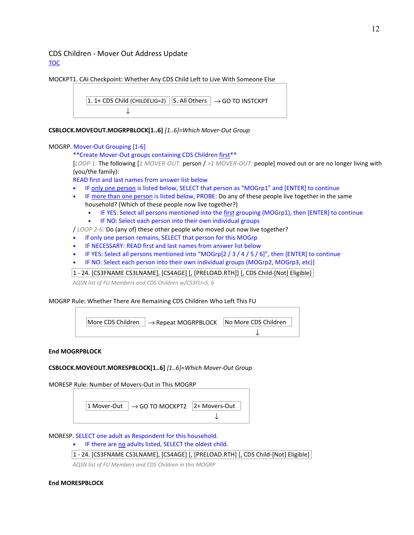### CDS Children - Mover Out Address Update TOC

MOCKPT1. CAI Checkpoint: Whether Any CDS Child Left to Live With Someone Else

1. 1+ CDS Child (CHILDELIG=2) 5. All Others 
$$
\rightarrow
$$
 GO TO INSTCKPT  $\downarrow$ 

**CSBLOCK.MOVEOUT.MOGRPBLOCK[1..6]** *[1..6]=Which Mover-Out Group* 

### MOGRP. Mover-Out Grouping [1-6]

\*\*Create Mover-Out groups containing CDS Children first\*\*

[*LOOP 1:* The following [*1 MOVER-OUT*: person / *>1 MOVER-OUT:* people] moved out or are no longer living with (you/the family):

READ first and last names from answer list below

- IF only one person is listed below, SELECT that person as "MOGrp1" and [ENTER] to continue
- IF more than one person is listed below, PROBE: Do any of these people live together in the same household? (Which of these people now live together?)
	- IF YES: Select all persons mentioned into the first grouping (MOGrp1), then [ENTER] to continue
	- IF NO: Select each person into their own individual groups

/ *LOOP 2-6:* Do (any of) these other people who moved out now live together?

- If only one person remains, SELECT that person for this MOGrp
- IF NECESSARY: READ first and last names from answer list below
- IF YES: Select all persons mentioned into "MOGrp[2 / 3 / 4 / 5 / 6]", then [ENTER] to continue
- IF NO: Select each person into their own individual groups (MOGrp2, MOGrp3, etc)]

1 - 24. [CS3FNAME CS3LNAME], [CS4AGE] [, [PRELOAD.RTH]] [, CDS Child-[Not] Eligible]

*AQSN list of FU Members and CDS Children w/CS3FU=5, 6*

### MOGRP Rule: Whether There Are Remaining CDS Children Who Left This FU



### **End MOGRPBLOCK**

### **CSBLOCK.MOVEOUT.MORESPBLOCK[1..6]** *[1..6]=Which Mover-Out Group*

MORESP Rule: Number of Movers-Out in This MOGRP



### MORESP. SELECT one adult as Respondent for this household.

- IF there are no adults listed, SELECT the oldest child.
- 1 24. [CS3FNAME CS3LNAME], [CS4AGE] [, [PRELOAD.RTH] [, CDS Child-[Not] Eligible]

*AQSN list of FU Members and CDS Children in this MOGRP* 

### **End MORESPBLOCK**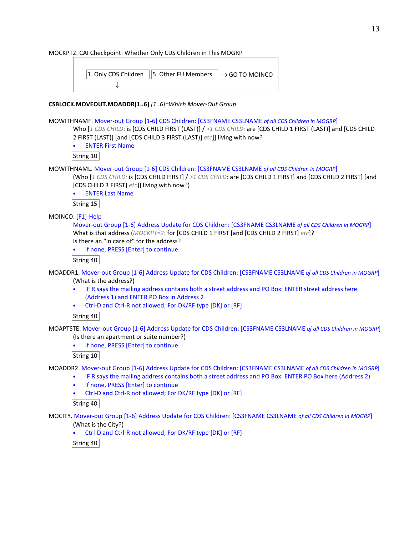MOCKPT2. CAI Checkpoint: Whether Only CDS Children in This MOGRP

|  | 1. Only CDS Children   5. Other FU Members $\vert \rightarrow$ GO TO MOINCO |  |
|--|-----------------------------------------------------------------------------|--|
|  |                                                                             |  |

### **CSBLOCK.MOVEOUT.MOADDR[1..6]** *[1..6]=Which Mover-Out Group*

### MOWITHNAMF. Mover-out Group [1-6] CDS Children: [CS3FNAME CS3LNAME *of all CDS Children in MOGRP*]

Who [*1 CDS CHILD*: is [CDS CHILD FIRST (LAST)] / >*1 CDS CHILD:* are [CDS CHILD 1 FIRST (LAST)] and [CDS CHILD 2 FIRST (LAST)] [and [CDS CHILD 3 FIRST (LAST)] *etc*]] living with now?

• ENTER First Name

String 10

MOWITHNAML. Mover-out Group [1-6] CDS Children: [CS3FNAME CS3LNAME *of all CDS Children in MOGRP*]

(Who [*1 CDS CHILD:* is [CDS CHILD FIRST] / *>1 CDS CHILD:* are [CDS CHILD 1 FIRST] and [CDS CHILD 2 FIRST] [and [CDS CHILD 3 FIRST] *etc*]] living with now?)

• ENTER Last Name

String 15

### MOINCO. [F1]-Help

Mover-out Group [1-6] Address Update for CDS Children: [CS3FNAME CS3LNAME *of all CDS Children in MOGRP*] What is that address (*MOCKPT=2*: for [CDS CHILD 1 FIRST [and [CDS CHILD 2 FIRST] *etc*]? Is there an "in care of" for the address?

• If none, PRESS [Enter] to continue

String 40

MOADDR1. Mover-out Group [1-6] Address Update for CDS Children: [CS3FNAME CS3LNAME *of all CDS Children in MOGRP*] (What is the address?)

- IF R says the mailing address contains both a street address and PO Box: ENTER street address here (Address 1) and ENTER PO Box in Address 2
- Ctrl-D and Ctrl-R not allowed; For DK/RF type [DK] or [RF]

### String 40

MOAPTSTE. Mover-out Group [1-6] Address Update for CDS Children: [CS3FNAME CS3LNAME *of all CDS Children in MOGRP*] (Is there an apartment or suite number?)

• If none, PRESS [Enter] to continue

String 10

MOADDR2. Mover-out Group [1-6] Address Update for CDS Children: [CS3FNAME CS3LNAME *of all CDS Children in MOGRP*]

- IF R says the mailing address contains both a street address and PO Box: ENTER PO Box here (Address 2)
- If none, PRESS [Enter] to continue
- Ctrl-D and Ctrl-R not allowed; For DK/RF type [DK] or [RF]

### String 40

MOCITY. Mover-out Group [1-6] Address Update for CDS Children: [CS3FNAME CS3LNAME *of all CDS Children in MOGRP*] (What is the City?)

• Ctrl-D and Ctrl-R not allowed; For DK/RF type [DK] or [RF]

String 40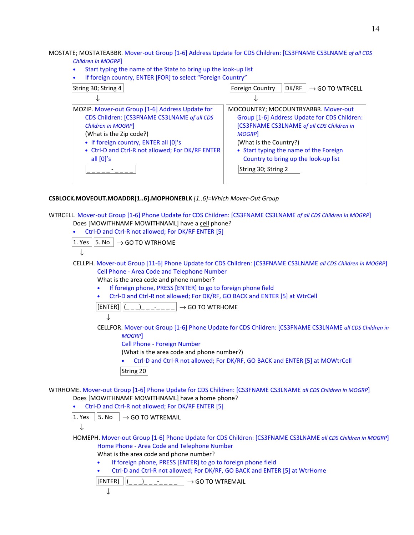MOSTATE; MOSTATEABBR. Mover-out Group [1-6] Address Update for CDS Children: [CS3FNAME CS3LNAME *of all CDS Children in MOGRP*]

- Start typing the name of the State to bring up the look-up list
- If foreign country, ENTER [FOR] to select "Foreign Country"

| String 30; String 4                                                                                                                                                                                                                                         | DK/RF<br>Foreign Country<br>$\rightarrow$ GO TO WTRCELL                                                                                                                                                                                                      |
|-------------------------------------------------------------------------------------------------------------------------------------------------------------------------------------------------------------------------------------------------------------|--------------------------------------------------------------------------------------------------------------------------------------------------------------------------------------------------------------------------------------------------------------|
|                                                                                                                                                                                                                                                             |                                                                                                                                                                                                                                                              |
| MOZIP. Mover-out Group [1-6] Address Update for<br>CDS Children: [CS3FNAME CS3LNAME of all CDS<br>Children in MOGRP]<br>(What is the Zip code?)<br>• If foreign country, ENTER all [0]'s<br>• Ctrl-D and Ctrl-R not allowed; For DK/RF ENTER<br>all $[0]'s$ | MOCOUNTRY; MOCOUNTRYABBR. Mover-out<br>Group [1-6] Address Update for CDS Children:<br>[CS3FNAME CS3LNAME of all CDS Children in<br><b>MOGRP</b><br>(What is the Country?)<br>• Start typing the name of the Foreign<br>Country to bring up the look-up list |
|                                                                                                                                                                                                                                                             | String 30; String 2                                                                                                                                                                                                                                          |

### **CSBLOCK.MOVEOUT.MOADDR[1..6].MOPHONEBLK** *[1..6]=Which Mover-Out Group*

WTRCELL. Mover-out Group [1-6] Phone Update for CDS Children: [CS3FNAME CS3LNAME *of all CDS Children in MOGRP*] Does [MOWITHNAMF MOWITHNAML] have a cell phone?

• Ctrl-D and Ctrl-R not allowed; For DK/RF ENTER [5]

 $|1.$  Yes  $||5.$  No  $|| \rightarrow$  GO TO WTRHOME

$$
\overline{\downarrow}
$$

CELLPH. Mover-out Group [11-6] Phone Update for CDS Children: [CS3FNAME CS3LNAME *all CDS Children in MOGRP*] Cell Phone - Area Code and Telephone Number

What is the area code and phone number?

- If foreign phone, PRESS [ENTER] to go to foreign phone field
- Ctrl-D and Ctrl-R not allowed; For DK/RF, GO BACK and ENTER [5] at WtrCell

 $\vert$ [ENTER] $\vert\vert(\_,\_)_{\_--\_--\_--\_--\_+}\vert\rightarrow$  GO TO WTRHOME

↓

CELLFOR. Mover-out Group [1-6] Phone Update for CDS Children: [CS3FNAME CS3LNAME *all CDS Children in MOGRP*]

Cell Phone - Foreign Number

(What is the area code and phone number?)

• Ctrl-D and Ctrl-R not allowed; For DK/RF, GO BACK and ENTER [5] at MOWtrCell

String 20

WTRHOME. Mover-out Group [1-6] Phone Update for CDS Children: [CS3FNAME CS3LNAME *all CDS Children in MOGRP*] Does [MOWITHNAMF MOWITHNAML] have a home phone?

• Ctrl-D and Ctrl-R not allowed; For DK/RF ENTER [5]

 $\boxed{1. \text{Yes}}$   $\boxed{5. \text{No}}$   $\rightarrow$  GO TO WTREMAIL

↓

↓

HOMEPH. Mover-out Group [1-6] Phone Update for CDS Children: [CS3FNAME CS3LNAME *all CDS Children in MOGRP*] Home Phone - Area Code and Telephone Number

What is the area code and phone number?

- If foreign phone, PRESS [ENTER] to go to foreign phone field
- Ctrl-D and Ctrl-R not allowed; For DK/RF, GO BACK and ENTER [5] at WtrHome

 $\begin{array}{|c|c|c|c|c|}\hline \text{[ENTER]} & \text{[} & \text{)} & \text{-} & \text{ } & \rightarrow \text{GO TO WTREMAL} \end{array}$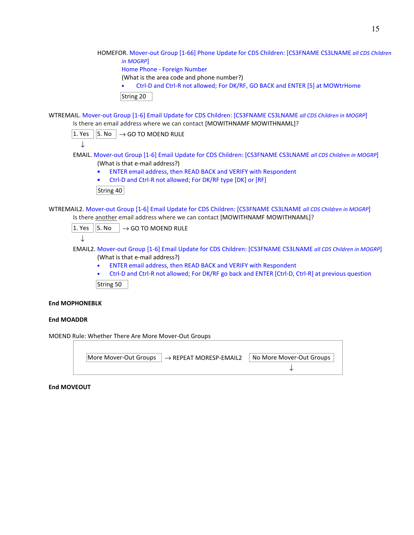HOMEFOR. Mover-out Group [1-66] Phone Update for CDS Children: [CS3FNAME CS3LNAME *all CDS Children in MOGRP*]

Home Phone - Foreign Number

(What is the area code and phone number?)

• Ctrl-D and Ctrl-R not allowed; For DK/RF, GO BACK and ENTER [5] at MOWtrHome

```
String 20
```
WTREMAIL. Mover-out Group [1-6] Email Update for CDS Children: [CS3FNAME CS3LNAME *all CDS Children in MOGRP*] Is there an email address where we can contact [MOWITHNAMF MOWITHNAML]?

 $|1.$  Yes  $||5.$  No  $|\rightarrow$  GO TO MOEND RULE

↓

- EMAIL. Mover-out Group [1-6] Email Update for CDS Children: [CS3FNAME CS3LNAME *all CDS Children in MOGRP*] (What is that e-mail address?)
	- ENTER email address, then READ BACK and VERIFY with Respondent
	- Ctrl-D and Ctrl-R not allowed; For DK/RF type [DK] or [RF]

String 40

WTREMAIL2. Mover-out Group [1-6] Email Update for CDS Children: [CS3FNAME CS3LNAME *all CDS Children in MOGRP*] Is there another email address where we can contact [MOWITHNAMF MOWITHNAML]?

|  | 1. Yes $  5.$ No $   \rightarrow$ GO TO MOEND RULE |
|--|----------------------------------------------------|
|  |                                                    |

EMAIL2. Mover-out Group [1-6] Email Update for CDS Children: [CS3FNAME CS3LNAME *all CDS Children in MOGRP*] (What is that e-mail address?)

- ENTER email address, then READ BACK and VERIFY with Respondent
- Ctrl-D and Ctrl-R not allowed; For DK/RF go back and ENTER [Ctrl-D, Ctrl-R] at previous question String 50

### **End MOPHONEBLK**

### **End MOADDR**

MOEND Rule: Whether There Are More Mover-Out Groups

| $\vert$ More Mover-Out Groups $\vert \rightarrow$ REPEAT MORESP-EMAIL2 | ⊩ No More Mover-Out Groups + |
|------------------------------------------------------------------------|------------------------------|
|                                                                        |                              |

#### **End MOVEOUT**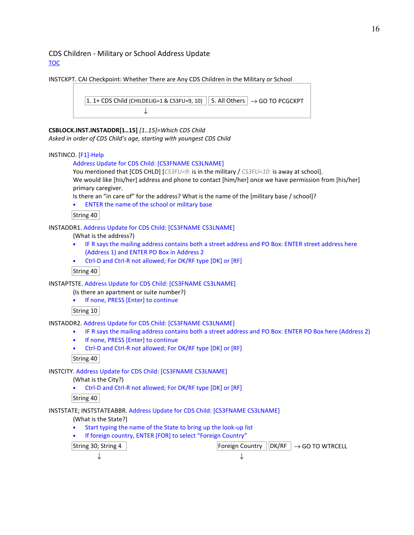### CDS Children - Military or School Address Update TOC

INSTCKPT. CAI Checkpoint: Whether There are Any CDS Children in the Military or School

```
1. 1+ CDS Child (CHILDELIG=1 & CS3FU=9, 10) || 5. All Others | \rightarrow GO TO PCGCKPT
                       ↓
```
### **CSBLOCK.INST.INSTADDR[1..15]** *[1..15]=Which CDS Child*

*Asked in order of CDS Child's age, starting with youngest CDS Child* 

#### INSTINCO. [F1]-Help

#### Address Update for CDS Child: [CS3FNAME CS3LNAME]

You mentioned that [CDS CHLD] [*CS3FU=9:* is in the military / *CS3FU=10:* is away at school]. We would like [his/her] address and phone to contact [him/her] once we have permission from [his/her] primary caregiver.

Is there an "in care of" for the address? What is the name of the [military base / school]?

• ENTER the name of the school or military base

String 40

INSTADDR1. Address Update for CDS Child: [CS3FNAME CS3LNAME]

(What is the address?)

- IF R says the mailing address contains both a street address and PO Box: ENTER street address here (Address 1) and ENTER PO Box in Address 2
- Ctrl-D and Ctrl-R not allowed; For DK/RF type [DK] or [RF]

String 40

INSTAPTSTE. Address Update for CDS Child: [CS3FNAME CS3LNAME]

(Is there an apartment or suite number?)

• If none, PRESS [Enter] to continue

String 10

INSTADDR2. Address Update for CDS Child: [CS3FNAME CS3LNAME]

- IF R says the mailing address contains both a street address and PO Box: ENTER PO Box here (Address 2)
	- If none, PRESS [Enter] to continue
	- Ctrl-D and Ctrl-R not allowed; For DK/RF type [DK] or [RF]

String 40

INSTCITY. Address Update for CDS Child: [CS3FNAME CS3LNAME]

(What is the City?)

• Ctrl-D and Ctrl-R not allowed; For DK/RF type [DK] or [RF]

### String 40

INSTSTATE; INSTSTATEABBR. Address Update for CDS Child: [CS3FNAME CS3LNAME]

(What is the State?)

- Start typing the name of the State to bring up the look-up list
- If foreign country, ENTER [FOR] to select "Foreign Country"

 $\begin{array}{c|c|c|c|c|c} \text{String 30; String 4} & \text{Foreign Country } & \text{DK/RF } & \rightarrow \text{GO TO WTRCELL} \end{array}$ ↓ ↓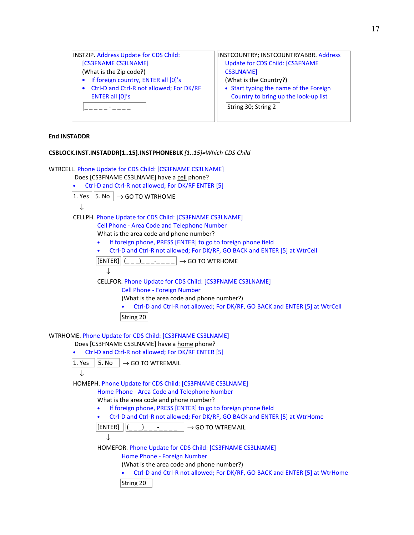| <b>INSTZIP. Address Update for CDS Child:</b> | INSTCOUNTRY; INSTCOUNTRYABBR. Address  |
|-----------------------------------------------|----------------------------------------|
| [CS3FNAME CS3LNAME]                           | Update for CDS Child: [CS3FNAME        |
| (What is the Zip code?)                       | <b>CS3LNAME]</b>                       |
| • If foreign country, ENTER all [0]'s         | (What is the Country?)                 |
| • Ctrl-D and Ctrl-R not allowed; For DK/RF    | • Start typing the name of the Foreign |
| ENTER all [0]'s                               | Country to bring up the look-up list   |
|                                               | String 30; String 2                    |
|                                               |                                        |

#### **End INSTADDR**

#### **CSBLOCK.INST.INSTADDR[1..15].INSTPHONEBLK** *[1..15]=Which CDS Child*

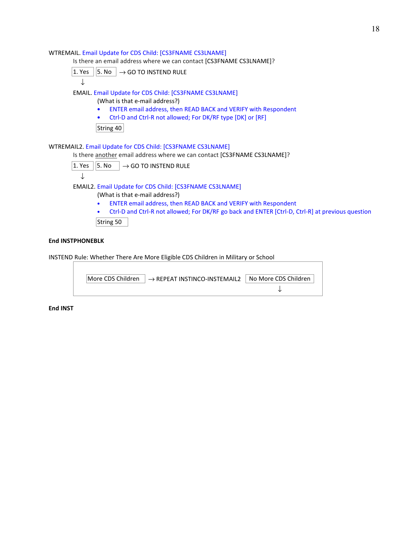#### WTREMAIL. Email Update for CDS Child: [CS3FNAME CS3LNAME]

Is there an email address where we can contact [CS3FNAME CS3LNAME]?

$$
\boxed{1. Yes} \boxed{5. No} \rightarrow GO\ TO\ INSTEND\ RULE
$$

### EMAIL. Email Update for CDS Child: [CS3FNAME CS3LNAME]

(What is that e-mail address?)

- ENTER email address, then READ BACK and VERIFY with Respondent
- Ctrl-D and Ctrl-R not allowed; For DK/RF type [DK] or [RF]

 $\vert$ String 40 $\vert$ 

### WTREMAIL2. Email Update for CDS Child: [CS3FNAME CS3LNAME]

Is there another email address where we can contact [CS3FNAME CS3LNAME]?

 $\overline{1. \text{Yes}}$   $\overline{5. \text{No}}$   $\rightarrow$  GO TO INSTEND RULE

$$
\downarrow
$$

## EMAIL2. Email Update for CDS Child: [CS3FNAME CS3LNAME]

(What is that e-mail address?)

- ENTER email address, then READ BACK and VERIFY with Respondent
- Ctrl-D and Ctrl-R not allowed; For DK/RF go back and ENTER [Ctrl-D, Ctrl-R] at previous question

String 50

#### **End INSTPHONEBLK**

INSTEND Rule: Whether There Are More Eligible CDS Children in Military or School

| $\vert$ More CDS Children $\vert \rightarrow$ REPEAT INSTINCO-INSTEMAIL2 | No More CDS Children |
|--------------------------------------------------------------------------|----------------------|
|                                                                          |                      |

**End INST**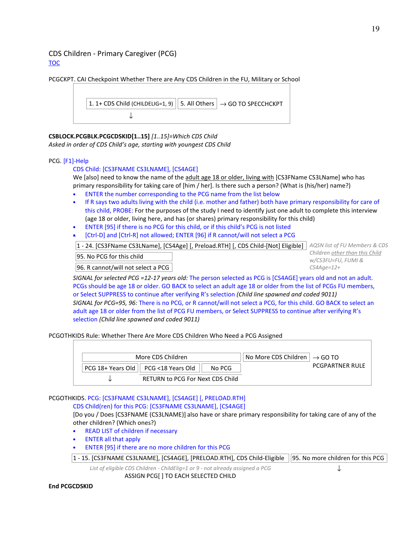### CDS Children - Primary Caregiver (PCG) TOC





**CSBLOCK.PCGBLK.PCGCDSKID[1..15]** *[1..15]=Which CDS Child*

*Asked in order of CDS Child's age, starting with youngest CDS Child* 

### PCG. [F1]-Help

### CDS Child: [CS3FNAME CS3LNAME], [CS4AGE]

We [also] need to know the name of the adult age 18 or older, living with [CS3FName CS3LName] who has primary responsibility for taking care of [him / her]. Is there such a person? (What is (his/her) name?)

- ENTER the number corresponding to the PCG name from the list below
- If R says two adults living with the child (i.e. mother and father) both have primary responsibility for care of this child, PROBE: For the purposes of the study I need to identify just one adult to complete this interview (age 18 or older, living here, and has (or shares) primary responsibility for this child)
- ENTER [95] if there is no PCG for this child, or if this child's PCG is not listed
- [Ctrl-D] and [Ctrl-R] not allowed; ENTER [96] if R cannot/will not select a PCG

1 - 24. [CS3FName CS3LName], [CS4Age] [, Preload.RTH] [, CDS Child-[Not] Eligible] *AQSN list of FU Members & CDS* 

95. No PCG for this child

96. R cannot/will not select a PCG

*Children other than this Child w/CS3FU=FU, FUMI & CS4Age=12+*

↓

*SIGNAL for selected PCG =12-17 years old:* The person selected as PCG is [CS4AGE] years old and not an adult. PCGs should be age 18 or older. GO BACK to select an adult age 18 or older from the list of PCGs FU members, or Select SUPPRESS to continue after verifying R's selection *(Child line spawned and coded 9011) SIGNAL for PCG=95, 96:* There is no PCG, or R cannot/will not select a PCG, for this child. GO BACK to select an adult age 18 or older from the list of PCG FU members, or Select SUPPRESS to continue after verifying R's selection *(Child line spawned and coded 9011)*

PCGOTHKIDS Rule: Whether There Are More CDS Children Who Need a PCG Assigned

| More CDS Children                                | $\vert$ No More CDS Children $\vert \rightarrow$ GO TO |                        |
|--------------------------------------------------|--------------------------------------------------------|------------------------|
| PCG 18+ Years Old    PCG <18 Years Old<br>No PCG |                                                        | <b>PCGPARTNER RULE</b> |
| RETURN to PCG For Next CDS Child                 |                                                        |                        |

#### PCGOTHKIDS. PCG: [CS3FNAME CS3LNAME], [CS4AGE] [, PRELOAD.RTH] CDS Child(ren) for this PCG: [CS3FNAME CS3LNAME], [CS4AGE]

[Do you / Does [CS3FNAME (CS3LNAME)] also have or share primary responsibility for taking care of any of the other children? (Which ones?)

- READ LIST of children if necessary
- ENTER all that apply
- ENTER [95] if there are no more children for this PCG
- $|1$  15. [CS3FNAME CS3LNAME], [CS4AGE], [PRELOAD.RTH], CDS Child-Eligible  $|95$ . No more children for this PCG

*List of eligible CDS Children - ChildElig=1 or 9 - not already assigned a PCG* 

ASSIGN PCG[ ] TO EACH SELECTED CHILD

#### **End PCGCDSKID**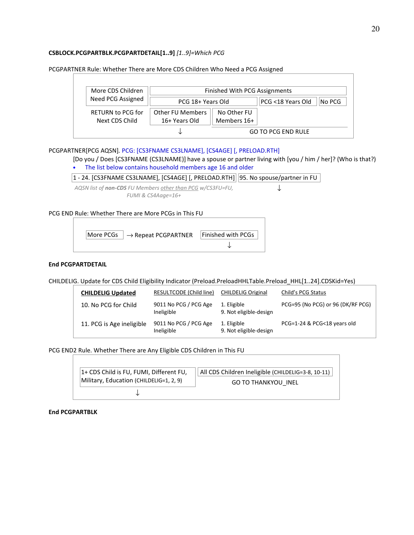#### **CSBLOCK.PCGPARTBLK.PCGPARTDETAIL[1..9]** *[1..9]=Which PCG*

| More CDS Children        | Finished With PCG Assignments |             |                   |        |
|--------------------------|-------------------------------|-------------|-------------------|--------|
| Need PCG Assigned        | PCG 18+ Years Old             |             | PCG <18 Years Old | No PCG |
| <b>RETURN to PCG for</b> | <b>Other FU Members</b>       | No Other FU |                   |        |
| Next CDS Child           | 16+ Years Old                 | Members 16+ |                   |        |

PCGPARTNER Rule: Whether There are More CDS Children Who Need a PCG Assigned

### PCGPARTNER[PCG AQSN]*.* PCG: [CS3FNAME CS3LNAME], [CS4AGE] [, PRELOAD.RTH]

[Do you / Does [CS3FNAME (CS3LNAME)] have a spouse or partner living with [you / him / her]? (Who is that?)

• The list below contains household members age 16 and older

### 1 - 24. [CS3FNAME CS3LNAME], [CS4AGE] [, PRELOAD.RTH] 95. No spouse/partner in FU

*AQSN list of non-CDS FU Members other than PCG w/CS3FU=FU, FUMI & CS4Aage=16+* ↓

### PCG END Rule: Whether There are More PCGs in This FU



### **End PCGPARTDETAIL**

CHILDELIG. Update for CDS Child Eligibility Indicator (Preload.PreloadHHLTable.Preload\_HHL[1..24].CDSKid=Yes)

| <b>CHILDELIG Updated</b>  | RESULTCODE (Child line)             | <b>CHILDELIG Original</b>             | Child's PCG Status                |
|---------------------------|-------------------------------------|---------------------------------------|-----------------------------------|
| 10. No PCG for Child      | 9011 No PCG / PCG Age<br>Ineligible | 1. Eligible<br>9. Not eligible-design | PCG=95 (No PCG) or 96 (DK/RF PCG) |
| 11. PCG is Age ineligible | 9011 No PCG / PCG Age<br>Ineligible | 1. Eligible<br>9. Not eligible-design | PCG=1-24 & PCG<18 years old       |

PCG END2 Rule. Whether There are Any Eligible CDS Children in This FU

| 1+ CDS Child is FU, FUMI, Different FU, | All CDS Children Ineligible (CHILDELIG=3-8, 10-11) |
|-----------------------------------------|----------------------------------------------------|
| Military, Education (CHILDELIG=1, 2, 9) | <b>GO TO THANKYOU INEL</b>                         |
|                                         |                                                    |

**End PCGPARTBLK**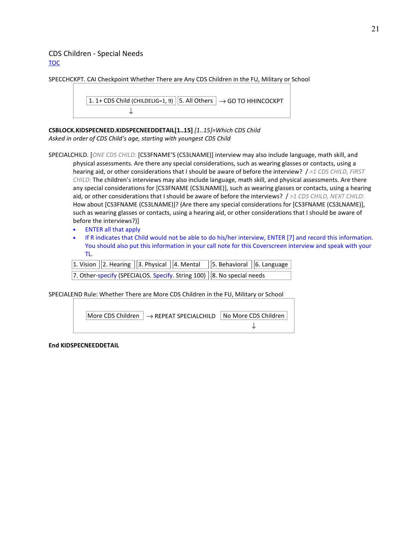### CDS Children - Special Needs TOC

SPECCHCKPT. CAI Checkpoint Whether There are Any CDS Children in the FU, Military or School

```
1. 1+ CDS Child (CHILDELIG=1, 9) || 5. All Others | \rightarrow GO TO HHINCOCKPT
                 ↓
```
**CSBLOCK.KIDSPECNEED.KIDSPECNEEDDETAIL[1..15]** *[1..15]=Which CDS Child Asked in order of CDS Child's age, starting with youngest CDS Child* 

SPECIALCHILD. [*ONE CDS CHILD:* [CS3FNAME'S (CS3LNAME)] interview may also include language, math skill, and physical assessments. Are there any special considerations, such as wearing glasses or contacts, using a hearing aid, or other considerations that I should be aware of before the interview? / *>1 CDS CHILD, FIRST CHILD:* The children's interviews may also include language, math skill, and physical assessments. Are there any special considerations for [CS3FNAME (CS3LNAME)], such as wearing glasses or contacts, using a hearing aid, or other considerations that I should be aware of before the interviews? / *>1 CDS CHILD, NEXT CHILD:*  How about [CS3FNAME (CS3LNAME)]? (Are there any special considerations for [CS3FNAME (CS3LNAME)], such as wearing glasses or contacts, using a hearing aid, or other considerations that I should be aware of before the interviews?)]

- ENTER all that apply
- If R indicates that Child would not be able to do his/her interview, ENTER [7] and record this information. You should also put this information in your call note for this Coverscreen interview and speak with your TL.

|  |  | 1. Vision $(2.$ Hearing $(3.$ Physical $(4.$ Mental $(5.$ Behavioral $(6.$ Language |  |
|--|--|-------------------------------------------------------------------------------------|--|
|  |  | 7. Other-specify (SPECIALOS. Specify. String 100)  8. No special needs              |  |

SPECIALEND Rule: Whether There are More CDS Children in the FU, Military or School



**End KIDSPECNEEDDETAIL**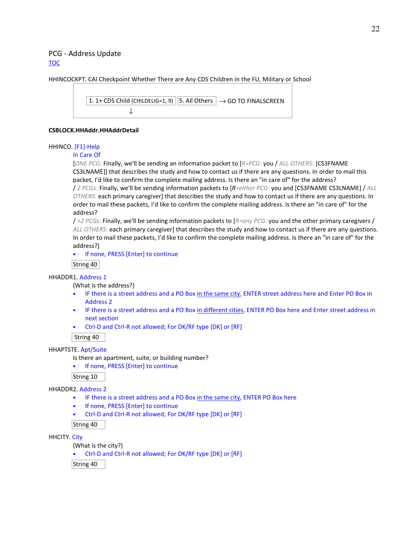### PCG - Address Update TOC

HHINCOCKPT. CAI Checkpoint Whether There are Any CDS Children in the FU, Military or School

```
1. 1+ CDS Child (CHILDELIG=1, 9) || 5. All Others | \rightarrow GO TO FINALSCREEN
                 ↓
```
#### **CSBLOCK.HHAddr.HHAddrDetail**

#### HHINCO. [F1]-Help

#### In Care Of

[*ONE PCG:* Finally, we'll be sending an information packet to [*R=PCG*: you / *ALL OTHERS*: [CS3FNAME CS3LNAME]] that describes the study and how to contact us if there are any questions. In order to mail this packet, I'd like to confirm the complete mailing address. Is there an "in care of" for the address? / *2 PCGs:* Finally, we'll be sending information packets to [*R=either PCG*: you and [CS3FNAME CS3LNAME] / *ALL OTHERS*: each primary caregiver] that describes the study and how to contact us if there are any questions. In order to mail these packets, I'd like to confirm the complete mailing address. Is there an "in care of" for the address?

/ *>2 PCGs:* Finally, we'll be sending information packets to [*R=any PCG*: you and the other primary caregivers / *ALL OTHERS*: each primary caregiver] that describes the study and how to contact us if there are any questions. In order to mail these packets, I'd like to confirm the complete mailing address. Is there an "in care of" for the address?]

• If none, PRESS [Enter] to continue

#### String 40

### HHADDR1. Address 1

(What is the address?)

- IF there is a street address and a PO Box in the same city, ENTER street address here and Enter PO Box in Address 2
- IF there is a street address and a PO Box in different cities, ENTER PO Box here and Enter street address in next section
- Ctrl-D and Ctrl-R not allowed; For DK/RF type [DK] or [RF]

String 40

### HHAPTSTE. Apt/Suite

Is there an apartment, suite, or building number?

• If none, PRESS [Enter] to continue

String 10

HHADDR2. Address 2

- IF there is a street address and a PO Box in the same city, ENTER PO Box here
- If none, PRESS [Enter] to continue
- Ctrl-D and Ctrl-R not allowed; For DK/RF type [DK] or [RF]

String 40

HHCITY. City

(What is the city?)

• Ctrl-D and Ctrl-R not allowed; For DK/RF type [DK] or [RF]

String 40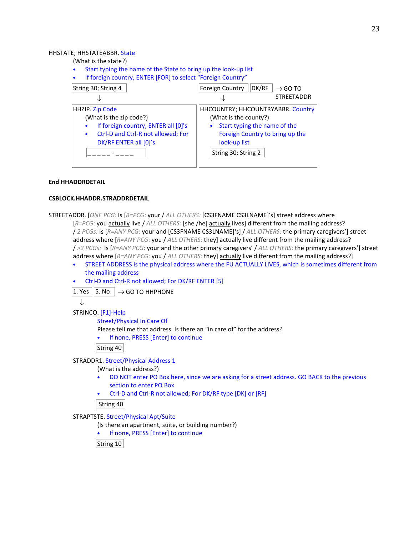#### HHSTATE; HHSTATEABBR. State

(What is the state?)

- Start typing the name of the State to bring up the look-up list
- If foreign country, ENTER [FOR] to select "Foreign Country"



#### **End HHADDRDETAIL**

#### **CSBLOCK.HHADDR.STRADDRDETAIL**

```
STREETADDR. [ONE PCG: Is [R=PCG: your / ALL OTHERS: [CS3FNAME CS3LNAME]'s] street address where 
        [R=PCG: you actually live / ALL OTHERS: [she /he] actually lives] different from the mailing address?
        / 2 PCGs: Is [R=ANY PCG: your and [CS3FNAME CS3LNAME]'s] / ALL OTHERS: the primary caregivers'] street 
        address where [R=ANY PCG: you / ALL OTHERS: they] actually live different from the mailing address? 
        / >2 PCGs: Is [R=ANY PCG: your and the other primary caregivers' / ALL OTHERS: the primary caregivers'] street 
        address where [R=ANY PCG: you / ALL OTHERS: they] actually live different from the mailing address?]
```
- STREET ADDRESS is the physical address where the FU ACTUALLY LIVES, which is sometimes different from the mailing address
- Ctrl-D and Ctrl-R not allowed; For DK/RF ENTER [5]

 $\overline{11. \text{Yes}}$  | 5. No |  $\rightarrow$  GO TO HHPHONE

```
↓
```
STRINCO. [F1]-Help

Street/Physical In Care Of

Please tell me that address. Is there an "in care of" for the address?

If none, PRESS [Enter] to continue

String 40

STRADDR1. Street/Physical Address 1

(What is the address?)

- DO NOT enter PO Box here, since we are asking for a street address. GO BACK to the previous section to enter PO Box
- Ctrl-D and Ctrl-R not allowed; For DK/RF type [DK] or [RF]

String 40

STRAPTSTE. Street/Physical Apt/Suite

(Is there an apartment, suite, or building number?)

• If none, PRESS [Enter] to continue

String 10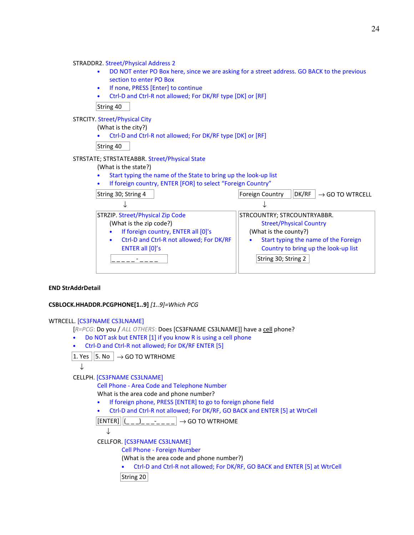- DO NOT enter PO Box here, since we are asking for a street address. GO BACK to the previous section to enter PO Box
- If none, PRESS [Enter] to continue
- Ctrl-D and Ctrl-R not allowed; For DK/RF type [DK] or [RF]

String 40

STRCITY. Street/Physical City

(What is the city?)

• Ctrl-D and Ctrl-R not allowed; For DK/RF type [DK] or [RF]

String 40

#### STRSTATE; STRSTATEABBR. Street/Physical State

- (What is the state?)
- Start typing the name of the State to bring up the look-up list
- If foreign country, ENTER [FOR] to select "Foreign Country"

| String 30; String 4                                   | DK/RF<br>Foreign Country<br>$\rightarrow$ GO TO WTRCELL |
|-------------------------------------------------------|---------------------------------------------------------|
|                                                       |                                                         |
| STRZIP. Street/Physical Zip Code                      | STRCOUNTRY; STRCOUNTRYABBR.                             |
| (What is the zip code?)                               | <b>Street/Physical Country</b>                          |
| If foreign country, ENTER all [0]'s                   | (What is the county?)                                   |
| Ctrl-D and Ctrl-R not allowed; For DK/RF<br>$\bullet$ | Start typing the name of the Foreign                    |
| ENTER all [0]'s                                       | Country to bring up the look-up list                    |
|                                                       | String 30; String 2                                     |
|                                                       |                                                         |

### **END StrAddrDetail**

#### **CSBLOCK.HHADDR.PCGPHONE[1..9]** *[1..9]=Which PCG*

#### WTRCELL. [CS3FNAME CS3LNAME]

[R=PCG: Do you / ALL OTHERS: Does [CS3FNAME CS3LNAME]] have a cell phone?

- Do NOT ask but ENTER [1] if you know R is using a cell phone
- Ctrl-D and Ctrl-R not allowed; For DK/RF ENTER [5]
- $|1.$  Yes  $||5.$  No  $|| \rightarrow$  GO TO WTRHOME

↓

### CELLPH. [CS3FNAME CS3LNAME]

Cell Phone - Area Code and Telephone Number

What is the area code and phone number?

- If foreign phone, PRESS [ENTER] to go to foreign phone field
- Ctrl-D and Ctrl-R not allowed; For DK/RF, GO BACK and ENTER [5] at WtrCell

 $\vert$ [ENTER] $\vert\vert$ (\_\_\_)\_\_\_-\_\_\_\_ $\vert \rightarrow$  GO TO WTRHOME



CELLFOR. [CS3FNAME CS3LNAME]

Cell Phone - Foreign Number

(What is the area code and phone number?)

• Ctrl-D and Ctrl-R not allowed; For DK/RF, GO BACK and ENTER [5] at WtrCell

```
String 20
```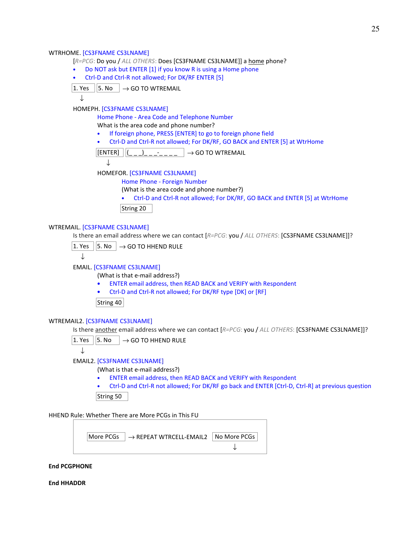#### WTRHOME. [CS3FNAME CS3LNAME]

- [*R=PCG*: Do you / *ALL OTHERS*: Does [CS3FNAME CS3LNAME]] a home phone?
- Do NOT ask but ENTER [1] if you know R is using a Home phone
- Ctrl-D and Ctrl-R not allowed; For DK/RF ENTER [5]
- $\boxed{1. \text{Yes}}$   $\boxed{5. \text{No}}$   $\boxed{\rightarrow$  GO TO WTREMAIL

↓

HOMEPH. [CS3FNAME CS3LNAME]

Home Phone - Area Code and Telephone Number

What is the area code and phone number?

- If foreign phone, PRESS [ENTER] to go to foreign phone field
- Ctrl-D and Ctrl-R not allowed; For DK/RF, GO BACK and ENTER [5] at WtrHome

 $\vert$ [ENTER]  $\vert\vert$ (\_ \_ \_)\_ \_ \_-\_ \_ \_ \_ |  $\rightarrow$  GO TO WTREMAIL

↓

HOMEFOR. [CS3FNAME CS3LNAME]

Home Phone - Foreign Number

(What is the area code and phone number?)

• Ctrl-D and Ctrl-R not allowed; For DK/RF, GO BACK and ENTER [5] at WtrHome

String 20

#### WTREMAIL. [CS3FNAME CS3LNAME]

Is there an email address where we can contact [*R=PCG*: you / *ALL OTHERS*: [CS3FNAME CS3LNAME]]?

 $|1.$  Yes  $||5.$  No  $|\rightarrow$  GO TO HHEND RULE

$$
f_{\rm{max}}
$$

## ↓

EMAIL. [CS3FNAME CS3LNAME]

(What is that e-mail address?)

- ENTER email address, then READ BACK and VERIFY with Respondent
- Ctrl-D and Ctrl-R not allowed; For DK/RF type [DK] or [RF]

String 40

#### WTREMAIL2. [CS3FNAME CS3LNAME]

Is there another email address where we can contact [*R=PCG*: you / *ALL OTHERS*: [CS3FNAME CS3LNAME]]?



↓

EMAIL2. [CS3FNAME CS3LNAME]

(What is that e-mail address?)

- ENTER email address, then READ BACK and VERIFY with Respondent
- Ctrl-D and Ctrl-R not allowed; For DK/RF go back and ENTER [Ctrl-D, Ctrl-R] at previous question String 50

HHEND Rule: Whether There are More PCGs in This FU



#### **End PCGPHONE**

**End HHADDR**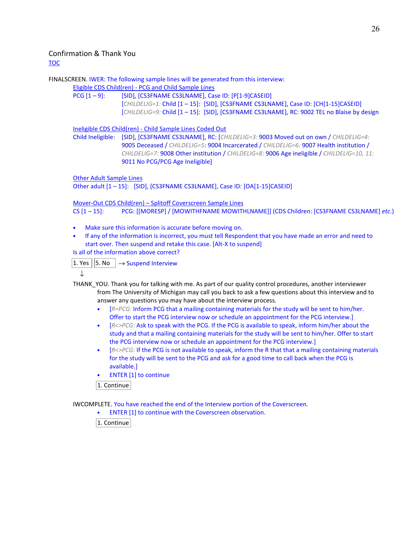## Confirmation & Thank You

TOC

FINALSCREEN. IWER: The following sample lines will be generated from this interview:

Eligible CDS Child(ren) - PCG and Child Sample Lines

PCG [1-9]: [SID], [CS3FNAME CS3LNAME], Case ID: [P[1-9]CASEID]

[*CHILDELIG=1:* Child [1 – 15]: [SID], [CS3FNAME CS3LNAME], Case ID: [CH[1-15]CASEID] [*CHILDELIG=9:* Child [1 – 15]: [SID], [CS3FNAME CS3LNAME], RC: 9002 TEL no Blaise by design

Ineligible CDS Child(ren) - Child Sample Lines Coded Out

Child Ineligible: [SID], [CS3FNAME CS3LNAME], RC: [*CHILDELIG=3:* 9003 Moved out on own / *CHILDELIG=4:* 9005 Deceased / *CHILDELIG=5:* 9004 Incarcerated / *CHILDELIG=6:* 9007 Health institution / *CHILDELIG=7:* 9008 Other institution / *CHILDELIG=8:* 9006 Age ineligible / *CHILDELIG=10, 11:* 9011 No PCG/PCG Age Ineligible]

Other Adult Sample Lines

Other adult [1 – 15]: [SID], [CS3FNAME CS3LNAME], Case ID: [OA[1-15]CASEID]

Mover-Out CDS Child(ren) – Splitoff Coverscreen Sample Lines CS [1 – 15]: PCG: [[MORESP] / [MOWITHFNAME MOWITHLNAME]] (CDS Children: [CS3FNAME CS3LNAME] *etc*.)

- Make sure this information is accurate before moving on.
- If any of the information is incorrect, you must tell Respondent that you have made an error and need to start over. Then suspend and retake this case. [Alt-X to suspend]

Is all of the information above correct?

 $\overline{11. \text{Yes}}$  | 5. No  $\overline{)} \rightarrow$  Suspend Interview

↓

THANK\_YOU. Thank you for talking with me. As part of our quality control procedures, another interviewer from The University of Michigan may call you back to ask a few questions about this interview and to answer any questions you may have about the interview process.

- [*R=PCG:* Inform PCG that a mailing containing materials for the study will be sent to him/her. Offer to start the PCG interview now or schedule an appointment for the PCG interview.]
- [*R<>PCG*: Ask to speak with the PCG. If the PCG is available to speak, inform him/her about the study and that a mailing containing materials for the study will be sent to him/her. Offer to start the PCG interview now or schedule an appointment for the PCG interview.]
- [*R<>PCG*: If the PCG is not available to speak, inform the R that that a mailing containing materials for the study will be sent to the PCG and ask for a good time to call back when the PCG is available.]
- ENTER [1] to continue

1. Continue

IWCOMPLETE. You have reached the end of the Interview portion of the Coverscreen.

• ENTER [1] to continue with the Coverscreen observation.

 $|1$ . Continue $|$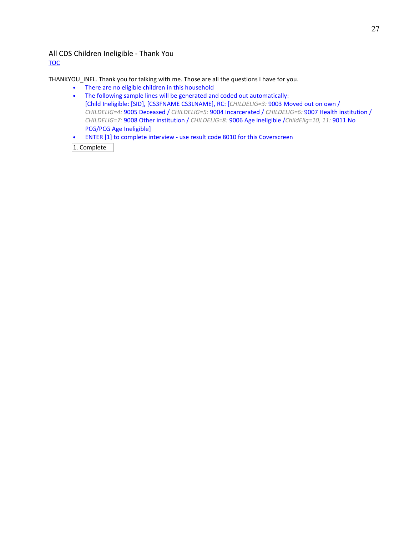### All CDS Children Ineligible - Thank You TOC

THANKYOU\_INEL. Thank you for talking with me. Those are all the questions I have for you.

- There are no eligible children in this household
- The following sample lines will be generated and coded out automatically: [Child Ineligible: [SID], [CS3FNAME CS3LNAME], RC: [*CHILDELIG=3:* 9003 Moved out on own / *CHILDELIG=4:* 9005 Deceased / *CHILDELIG=5:* 9004 Incarcerated / *CHILDELIG=6:* 9007 Health institution / *CHILDELIG=7:* 9008 Other institution / *CHILDELIG=8:* 9006 Age ineligible /*ChildElig=10, 11:* 9011 No PCG/PCG Age Ineligible]
- ENTER [1] to complete interview use result code 8010 for this Coverscreen

1. Complete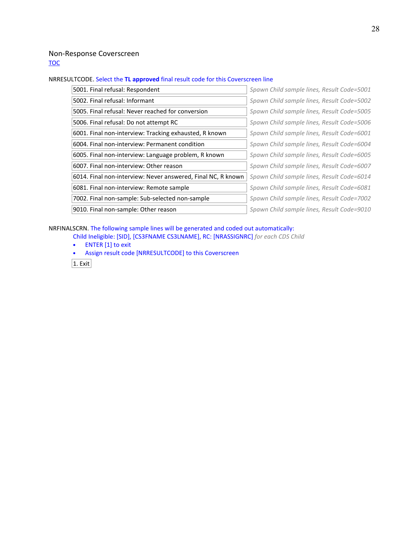### Non-Response Coverscreen

**TOC** 

### NRRESULTCODE. Select the **TL approved** final result code for this Coverscreen line

| 5001. Final refusal: Respondent                              | Spawn Child sample lines, Result Code=5001 |
|--------------------------------------------------------------|--------------------------------------------|
| 5002. Final refusal: Informant                               | Spawn Child sample lines, Result Code=5002 |
| 5005. Final refusal: Never reached for conversion            | Spawn Child sample lines, Result Code=5005 |
| 5006. Final refusal: Do not attempt RC                       | Spawn Child sample lines, Result Code=5006 |
| 6001. Final non-interview: Tracking exhausted, R known       | Spawn Child sample lines, Result Code=6001 |
| 6004. Final non-interview: Permanent condition               | Spawn Child sample lines, Result Code=6004 |
| 6005. Final non-interview: Language problem, R known         | Spawn Child sample lines, Result Code=6005 |
| 6007. Final non-interview: Other reason                      | Spawn Child sample lines, Result Code=6007 |
| 6014. Final non-interview: Never answered, Final NC, R known | Spawn Child sample lines, Result Code=6014 |
| 6081. Final non-interview: Remote sample                     | Spawn Child sample lines, Result Code=6081 |
| 7002. Final non-sample: Sub-selected non-sample              | Spawn Child sample lines, Result Code=7002 |
| 9010. Final non-sample: Other reason                         | Spawn Child sample lines, Result Code=9010 |

NRFINALSCRN. The following sample lines will be generated and coded out automatically:

Child Ineligible: [SID], [CS3FNAME CS3LNAME], RC: [NRASSIGNRC] *for each CDS Child*

• ENTER [1] to exit

• Assign result code [NRRESULTCODE] to this Coverscreen

 $\overline{1.$  Exit